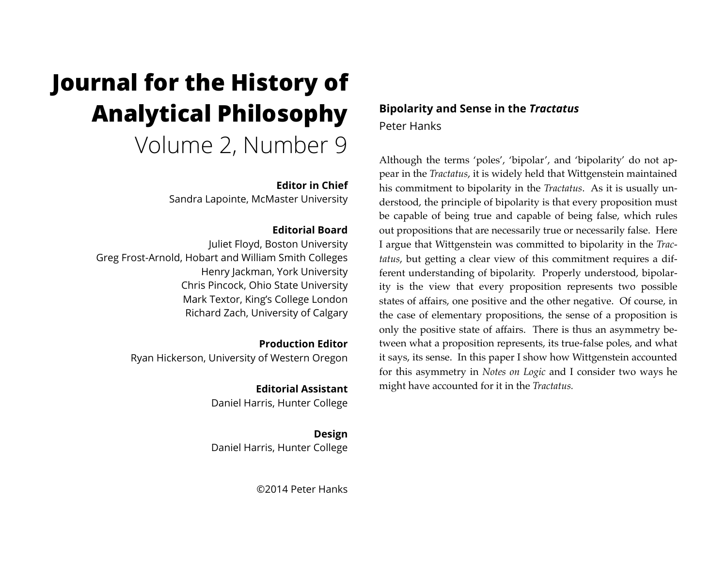# **Journal for the History of Analytical Philosophy**  Volume 2, Number 9

## **Editor in Chief**

Sandra Lapointe, McMaster University

## **Editorial Board**

Juliet Floyd, Boston University Greg Frost-Arnold, Hobart and William Smith Colleges Henry Jackman, York University Chris Pincock, Ohio State University Mark Textor, King's College London Richard Zach, University of Calgary

> **Production Editor** Ryan Hickerson, University of Western Oregon

> > **Editorial Assistant** Daniel Harris, Hunter College

> > **Design** Daniel Harris, Hunter College

> > > ©2014 Peter Hanks

# **Bipolarity and Sense in the** *Tractatus* Peter Hanks

Although the terms 'poles', 'bipolar', and 'bipolarity' do not appear in the *Tractatus*, it is widely held that Wittgenstein maintained his commitment to bipolarity in the *Tractatus*. As it is usually understood, the principle of bipolarity is that every proposition must be capable of being true and capable of being false, which rules out propositions that are necessarily true or necessarily false. Here I argue that Wittgenstein was committed to bipolarity in the *Tractatus*, but getting a clear view of this commitment requires a different understanding of bipolarity. Properly understood, bipolarity is the view that every proposition represents two possible states of affairs, one positive and the other negative. Of course, in the case of elementary propositions, the sense of a proposition is only the positive state of affairs. There is thus an asymmetry between what a proposition represents, its true-false poles, and what it says, its sense. In this paper I show how Wittgenstein accounted for this asymmetry in *Notes on Logic* and I consider two ways he might have accounted for it in the *Tractatus.*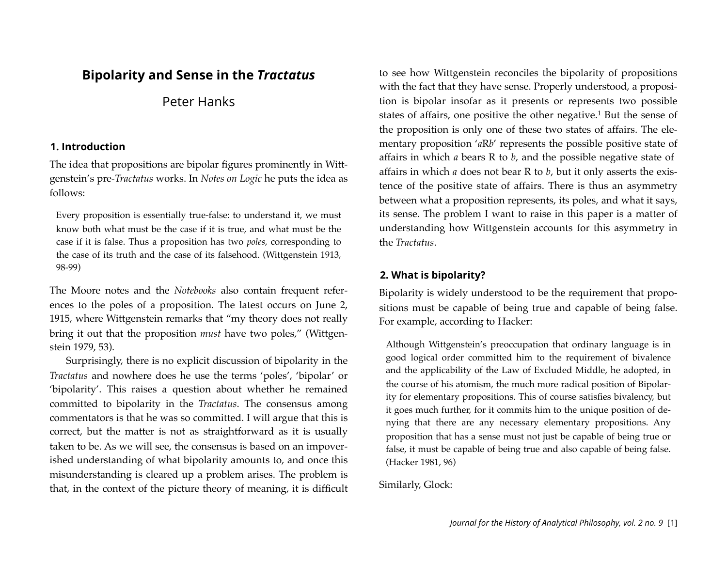# **Bipolarity and Sense in the** *Tractatus*

# Peter Hanks

#### **1. Introduction**

The idea that propositions are bipolar figures prominently in Wittgenstein's pre-*Tractatus* works. In *Notes on Logic* he puts the idea as follows:

Every proposition is essentially true-false: to understand it, we must know both what must be the case if it is true, and what must be the case if it is false. Thus a proposition has two *poles*, corresponding to the case of its truth and the case of its falsehood. (Wittgenstein 1913, 98-99)

The Moore notes and the *Notebooks* also contain frequent references to the poles of a proposition. The latest occurs on June 2, 1915, where Wittgenstein remarks that "my theory does not really bring it out that the proposition *must* have two poles," (Wittgenstein 1979, 53).

Surprisingly, there is no explicit discussion of bipolarity in the *Tractatus* and nowhere does he use the terms 'poles', 'bipolar' or 'bipolarity'. This raises a question about whether he remained committed to bipolarity in the *Tractatus*. The consensus among commentators is that he was so committed. I will argue that this is correct, but the matter is not as straightforward as it is usually taken to be. As we will see, the consensus is based on an impoverished understanding of what bipolarity amounts to, and once this misunderstanding is cleared up a problem arises. The problem is that, in the context of the picture theory of meaning, it is difficult to see how Wittgenstein reconciles the bipolarity of propositions with the fact that they have sense. Properly understood, a proposition is bipolar insofar as it presents or represents two possible states of affairs, one positive the other negative[.1](#page-12-0) But the sense of the proposition is only one of these two states of affairs. The elementary proposition '*a*R*b*' represents the possible positive state of affairs in which *a* bears R to *b*, and the possible negative state of affairs in which *a* does not bear R to *b*, but it only asserts the existence of the positive state of affairs. There is thus an asymmetry between what a proposition represents, its poles, and what it says, its sense. The problem I want to raise in this paper is a matter of understanding how Wittgenstein accounts for this asymmetry in the *Tractatus*.

## **2. What is bipolarity?**

Bipolarity is widely understood to be the requirement that propositions must be capable of being true and capable of being false. For example, according to Hacker:

Although Wittgenstein's preoccupation that ordinary language is in good logical order committed him to the requirement of bivalence and the applicability of the Law of Excluded Middle, he adopted, in the course of his atomism, the much more radical position of Bipolarity for elementary propositions. This of course satisfies bivalency, but it goes much further, for it commits him to the unique position of denying that there are any necessary elementary propositions. Any proposition that has a sense must not just be capable of being true or false, it must be capable of being true and also capable of being false. (Hacker 1981, 96)

Similarly, Glock: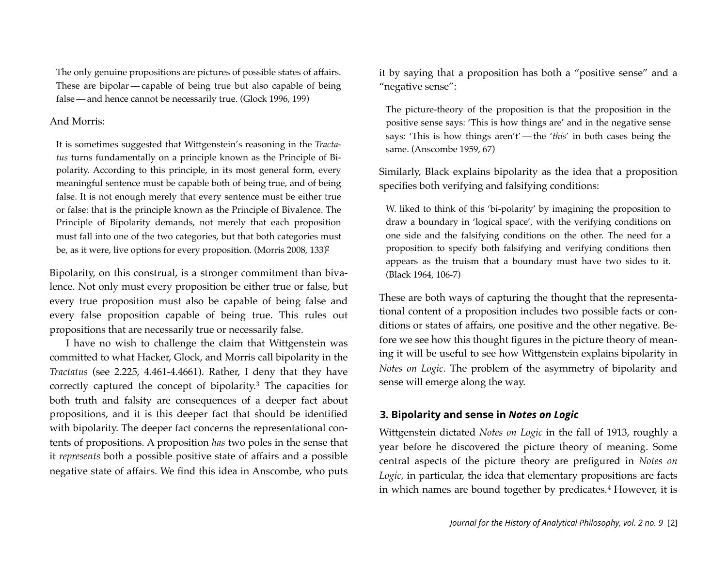The only genuine propositions are pictures of possible states of affairs. These are bipolar — capable of being true but also capable of being false—and hence cannot be necessarily true. (Glock 1996, 199)

#### And Morris:

It is sometimes suggested that Wittgenstein's reasoning in the *Tractatus* turns fundamentally on a principle known as the Principle of Bipolarity. According to this principle, in its most general form, every meaningful sentence must be capable both of being true, and of being false. It is not enough merely that every sentence must be either true or false: that is the principle known as the Principle of Bivalence. The Principle of Bipolarity demands, not merely that each proposition must fall into one of the two categories, but that both categories must be, as it were, live options for every proposition. (Morris 2008, 133 $\beta$ )

Bipolarity, on this construal, is a stronger commitment than bivalence. Not only must every proposition be either true or false, but every true proposition must also be capable of being false and every false proposition capable of being true. This rules out propositions that are necessarily true or necessarily false.

I have no wish to challenge the claim that Wittgenstein was committed to what Hacker, Glock, and Morris call bipolarity in the *Tractatus* (see 2.225, 4.461-4.4661). Rather, I deny that they have correctly captured the concept of bipolarity.[3](#page-12-2) The capacities for both truth and falsity are consequences of a deeper fact about propositions, and it is this deeper fact that should be identified with bipolarity. The deeper fact concerns the representational contents of propositions. A proposition *has* two poles in the sense that it *represents* both a possible positive state of affairs and a possible negative state of affairs. We find this idea in Anscombe, who puts

it by saying that a proposition has both a "positive sense" and a "negative sense":

The picture-theory of the proposition is that the proposition in the positive sense says: 'This is how things are' and in the negative sense says: 'This is how things aren't' — the '*this*' in both cases being the same. (Anscombe 1959, 67)

Similarly, Black explains bipolarity as the idea that a proposition specifies both verifying and falsifying conditions:

W. liked to think of this 'bi-polarity' by imagining the proposition to draw a boundary in 'logical space', with the verifying conditions on one side and the falsifying conditions on the other. The need for a proposition to specify both falsifying and verifying conditions then appears as the truism that a boundary must have two sides to it. (Black 1964, 106-7)

These are both ways of capturing the thought that the representational content of a proposition includes two possible facts or conditions or states of affairs, one positive and the other negative. Before we see how this thought figures in the picture theory of meaning it will be useful to see how Wittgenstein explains bipolarity in *Notes on Logic*. The problem of the asymmetry of bipolarity and sense will emerge along the way.

#### **3. Bipolarity and sense in** *Notes on Logic*

Wittgenstein dictated *Notes on Logic* in the fall of 1913, roughly a year before he discovered the picture theory of meaning. Some central aspects of the picture theory are prefigured in *Notes on Logic,* in particular, the idea that elementary propositions are facts in which names are bound together by predicates.<sup>[4](#page-12-3)</sup> However, it is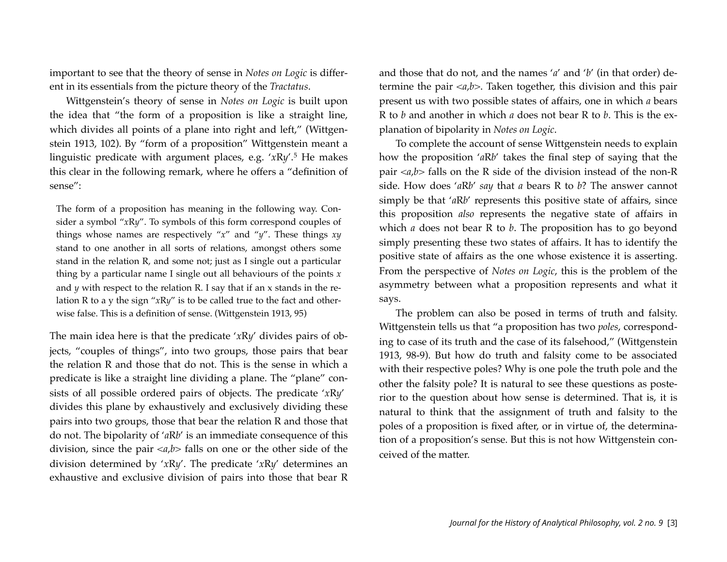important to see that the theory of sense in *Notes on Logic* is different in its essentials from the picture theory of the *Tractatus*.

Wittgenstein's theory of sense in *Notes on Logic* is built upon the idea that "the form of a proposition is like a straight line, which divides all points of a plane into right and left," (Wittgenstein 1913, 102). By "form of a proposition" Wittgenstein meant a linguistic predicate with argument places, e.g. '*x*R*y*'.[5](#page-13-0) He makes this clear in the following remark, where he offers a "definition of sense":

The form of a proposition has meaning in the following way. Consider a symbol "*x*R*y*". To symbols of this form correspond couples of things whose names are respectively "*x*" and "*y*". These things *xy* stand to one another in all sorts of relations, amongst others some stand in the relation R, and some not; just as I single out a particular thing by a particular name I single out all behaviours of the points *x* and *y* with respect to the relation R. I say that if an x stands in the relation R to a y the sign "*x*R*y*" is to be called true to the fact and otherwise false. This is a definition of sense. (Wittgenstein 1913, 95)

The main idea here is that the predicate '*x*R*y*' divides pairs of objects, "couples of things", into two groups, those pairs that bear the relation R and those that do not. This is the sense in which a predicate is like a straight line dividing a plane. The "plane" consists of all possible ordered pairs of objects. The predicate '*x*R*y*' divides this plane by exhaustively and exclusively dividing these pairs into two groups, those that bear the relation R and those that do not. The bipolarity of '*a*R*b*' is an immediate consequence of this division, since the pair <*a*,*b*> falls on one or the other side of the division determined by '*x*R*y*'. The predicate '*x*R*y*' determines an exhaustive and exclusive division of pairs into those that bear R and those that do not, and the names '*a*' and '*b*' (in that order) determine the pair <*a*,*b*>. Taken together, this division and this pair present us with two possible states of affairs, one in which *a* bears R to *b* and another in which *a* does not bear R to *b*. This is the explanation of bipolarity in *Notes on Logic*.

To complete the account of sense Wittgenstein needs to explain how the proposition '*a*R*b*' takes the final step of saying that the pair <*a*,*b*> falls on the R side of the division instead of the non-R side. How does '*a*R*b*' *say* that *a* bears R to *b*? The answer cannot simply be that '*a*R*b*' represents this positive state of affairs, since this proposition *also* represents the negative state of affairs in which *a* does not bear R to *b*. The proposition has to go beyond simply presenting these two states of affairs. It has to identify the positive state of affairs as the one whose existence it is asserting. From the perspective of *Notes on Logic*, this is the problem of the asymmetry between what a proposition represents and what it says.

The problem can also be posed in terms of truth and falsity. Wittgenstein tells us that "a proposition has two *poles*, corresponding to case of its truth and the case of its falsehood," (Wittgenstein 1913, 98-9). But how do truth and falsity come to be associated with their respective poles? Why is one pole the truth pole and the other the falsity pole? It is natural to see these questions as posterior to the question about how sense is determined. That is, it is natural to think that the assignment of truth and falsity to the poles of a proposition is fixed after, or in virtue of, the determination of a proposition's sense. But this is not how Wittgenstein conceived of the matter.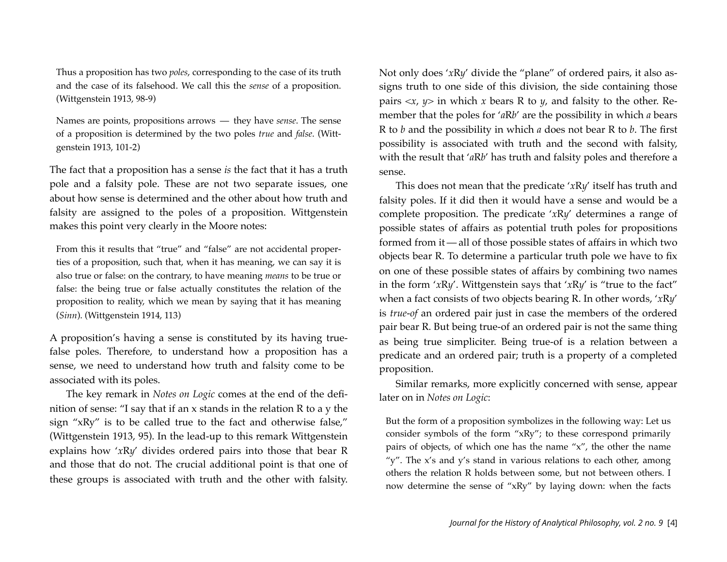Thus a proposition has two *poles*, corresponding to the case of its truth and the case of its falsehood. We call this the *sense* of a proposition. (Wittgenstein 1913, 98-9)

Names are points, propositions arrows — they have *sense*. The sense of a proposition is determined by the two poles *true* and *false*. (Wittgenstein 1913, 101-2)

The fact that a proposition has a sense *is* the fact that it has a truth pole and a falsity pole. These are not two separate issues, one about how sense is determined and the other about how truth and falsity are assigned to the poles of a proposition. Wittgenstein makes this point very clearly in the Moore notes:

From this it results that "true" and "false" are not accidental properties of a proposition, such that, when it has meaning, we can say it is also true or false: on the contrary, to have meaning *means* to be true or false: the being true or false actually constitutes the relation of the proposition to reality, which we mean by saying that it has meaning (*Sinn*). (Wittgenstein 1914, 113)

A proposition's having a sense is constituted by its having truefalse poles. Therefore, to understand how a proposition has a sense, we need to understand how truth and falsity come to be associated with its poles.

The key remark in *Notes on Logic* comes at the end of the definition of sense: "I say that if an x stands in the relation R to a y the sign "xRy" is to be called true to the fact and otherwise false," (Wittgenstein 1913, 95). In the lead-up to this remark Wittgenstein explains how '*x*R*y*' divides ordered pairs into those that bear R and those that do not. The crucial additional point is that one of these groups is associated with truth and the other with falsity. Not only does '*x*R*y*' divide the "plane" of ordered pairs, it also assigns truth to one side of this division, the side containing those pairs  $\langle x, y \rangle$  in which *x* bears R to *y*, and falsity to the other. Remember that the poles for '*a*R*b*' are the possibility in which *a* bears R to *b* and the possibility in which *a* does not bear R to *b*. The first possibility is associated with truth and the second with falsity, with the result that '*a*R*b*' has truth and falsity poles and therefore a sense.

This does not mean that the predicate '*x*R*y*' itself has truth and falsity poles. If it did then it would have a sense and would be a complete proposition. The predicate '*x*R*y*' determines a range of possible states of affairs as potential truth poles for propositions formed from it — all of those possible states of affairs in which two objects bear R. To determine a particular truth pole we have to fix on one of these possible states of affairs by combining two names in the form '*x*R*y*'. Wittgenstein says that '*x*R*y*' is "true to the fact" when a fact consists of two objects bearing R. In other words, '*x*R*y*' is *true-of* an ordered pair just in case the members of the ordered pair bear R. But being true-of an ordered pair is not the same thing as being true simpliciter. Being true-of is a relation between a predicate and an ordered pair; truth is a property of a completed proposition.

Similar remarks, more explicitly concerned with sense, appear later on in *Notes on Logic*:

But the form of a proposition symbolizes in the following way: Let us consider symbols of the form "xRy"; to these correspond primarily pairs of objects, of which one has the name "x", the other the name "y". The x's and y's stand in various relations to each other, among others the relation R holds between some, but not between others. I now determine the sense of "xRy" by laying down: when the facts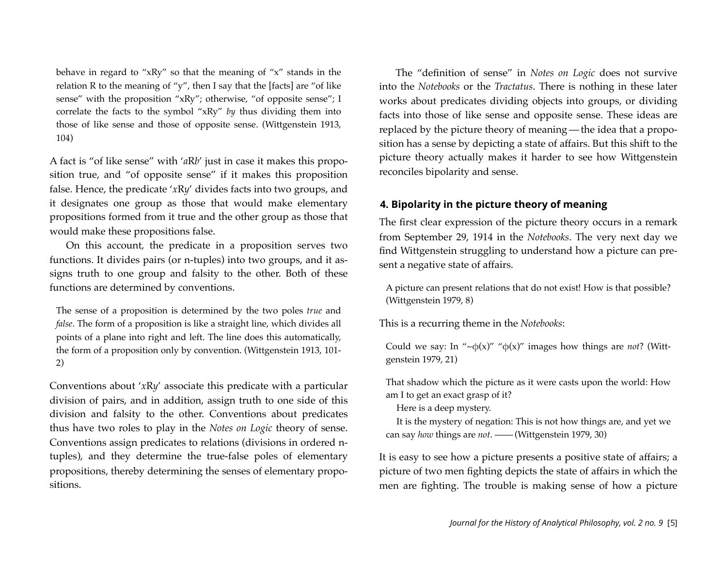behave in regard to "xRy" so that the meaning of "x" stands in the relation R to the meaning of "y", then I say that the [facts] are "of like sense" with the proposition "xRy"; otherwise, "of opposite sense"; I correlate the facts to the symbol "xRy" *by* thus dividing them into those of like sense and those of opposite sense. (Wittgenstein 1913, 104)

A fact is "of like sense" with '*a*R*b*' just in case it makes this proposition true, and "of opposite sense" if it makes this proposition false. Hence, the predicate '*x*R*y*' divides facts into two groups, and it designates one group as those that would make elementary propositions formed from it true and the other group as those that would make these propositions false.

On this account, the predicate in a proposition serves two functions. It divides pairs (or n-tuples) into two groups, and it assigns truth to one group and falsity to the other. Both of these functions are determined by conventions.

The sense of a proposition is determined by the two poles *true* and *false*. The form of a proposition is like a straight line, which divides all points of a plane into right and left. The line does this automatically, the form of a proposition only by convention. (Wittgenstein 1913, 101- 2)

Conventions about '*x*R*y*' associate this predicate with a particular division of pairs, and in addition, assign truth to one side of this division and falsity to the other. Conventions about predicates thus have two roles to play in the *Notes on Logic* theory of sense. Conventions assign predicates to relations (divisions in ordered ntuples), and they determine the true-false poles of elementary propositions, thereby determining the senses of elementary propositions.

The "definition of sense" in *Notes on Logic* does not survive into the *Notebooks* or the *Tractatus*. There is nothing in these later works about predicates dividing objects into groups, or dividing facts into those of like sense and opposite sense. These ideas are replaced by the picture theory of meaning — the idea that a proposition has a sense by depicting a state of affairs. But this shift to the picture theory actually makes it harder to see how Wittgenstein reconciles bipolarity and sense.

#### **4. Bipolarity in the picture theory of meaning**

The first clear expression of the picture theory occurs in a remark from September 29, 1914 in the *Notebooks*. The very next day we find Wittgenstein struggling to understand how a picture can present a negative state of affairs.

A picture can present relations that do not exist! How is that possible? (Wittgenstein 1979, 8)

This is a recurring theme in the *Notebooks*:

Could we say: In " $\neg$  $\phi(x)$ " " $\phi(x)$ " images how things are *not*? (Wittgenstein 1979, 21)

That shadow which the picture as it were casts upon the world: How am I to get an exact grasp of it?

Here is a deep mystery.

It is the mystery of negation: This is not how things are, and yet we can say *how* things are *not*. ——(Wittgenstein 1979, 30)

It is easy to see how a picture presents a positive state of affairs; a picture of two men fighting depicts the state of affairs in which the men are fighting. The trouble is making sense of how a picture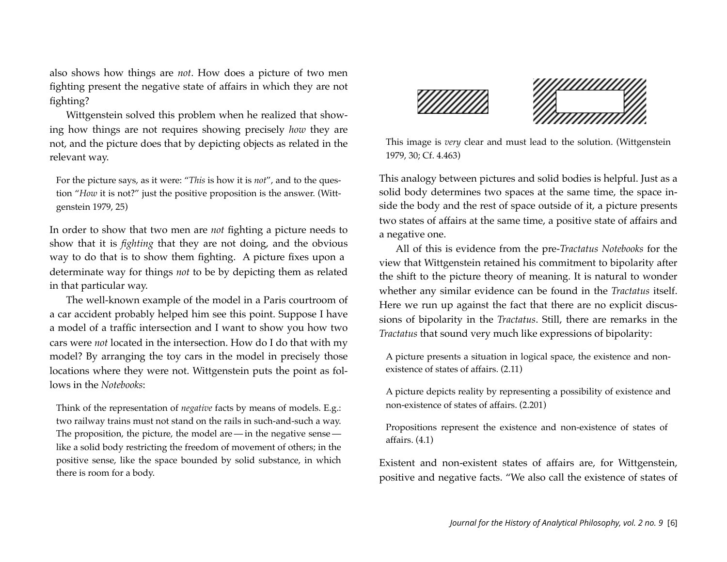also shows how things are *not*. How does a picture of two men fighting present the negative state of affairs in which they are not fighting?

Wittgenstein solved this problem when he realized that showing how things are not requires showing precisely *how* they are not, and the picture does that by depicting objects as related in the relevant way.

For the picture says, as it were: "*This* is how it is *not*", and to the question "*How* it is not?" just the positive proposition is the answer. (Wittgenstein 1979, 25)

In order to show that two men are *not* fighting a picture needs to show that it is *fighting* that they are not doing, and the obvious way to do that is to show them fighting. A picture fixes upon a determinate way for things *not* to be by depicting them as related in that particular way.

The well-known example of the model in a Paris courtroom of a car accident probably helped him see this point. Suppose I have a model of a traffic intersection and I want to show you how two cars were *not* located in the intersection. How do I do that with my model? By arranging the toy cars in the model in precisely those locations where they were not. Wittgenstein puts the point as follows in the *Notebooks*:

Think of the representation of *negative* facts by means of models. E.g.: two railway trains must not stand on the rails in such-and-such a way. The proposition, the picture, the model are — in the negative sense like a solid body restricting the freedom of movement of others; in the positive sense, like the space bounded by solid substance, in which there is room for a body.





This image is *very* clear and must lead to the solution. (Wittgenstein 1979, 30; Cf. 4.463)

This analogy between pictures and solid bodies is helpful. Just as a solid body determines two spaces at the same time, the space inside the body and the rest of space outside of it, a picture presents two states of affairs at the same time, a positive state of affairs and a negative one.

All of this is evidence from the pre-*Tractatus Notebooks* for the view that Wittgenstein retained his commitment to bipolarity after the shift to the picture theory of meaning. It is natural to wonder whether any similar evidence can be found in the *Tractatus* itself. Here we run up against the fact that there are no explicit discussions of bipolarity in the *Tractatus*. Still, there are remarks in the *Tractatus* that sound very much like expressions of bipolarity:

A picture presents a situation in logical space, the existence and nonexistence of states of affairs. (2.11)

A picture depicts reality by representing a possibility of existence and non-existence of states of affairs. (2.201)

Propositions represent the existence and non-existence of states of affairs. (4.1)

Existent and non-existent states of affairs are, for Wittgenstein, positive and negative facts. "We also call the existence of states of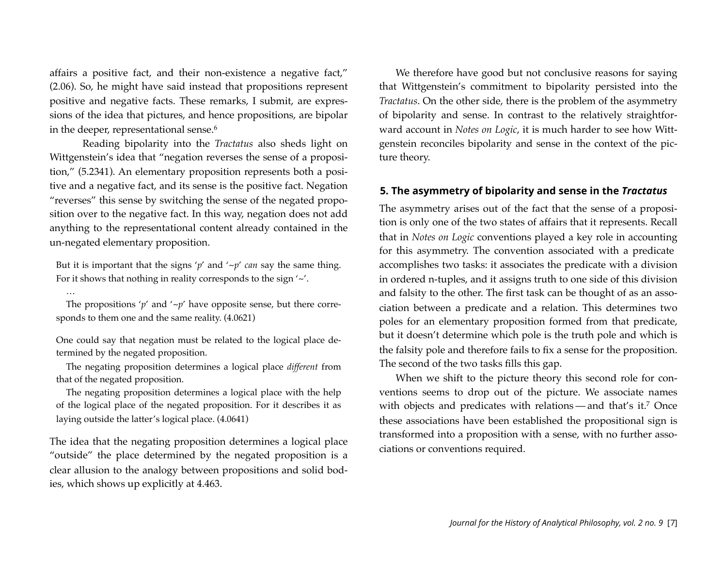affairs a positive fact, and their non-existence a negative fact," (2.06). So, he might have said instead that propositions represent positive and negative facts. These remarks, I submit, are expressions of the idea that pictures, and hence propositions, are bipolar in the deeper, representational sense.<sup>6</sup>

Reading bipolarity into the *Tractatus* also sheds light on Wittgenstein's idea that "negation reverses the sense of a proposition," (5.2341). An elementary proposition represents both a positive and a negative fact, and its sense is the positive fact. Negation "reverses" this sense by switching the sense of the negated proposition over to the negative fact. In this way, negation does not add anything to the representational content already contained in the un-negated elementary proposition.

But it is important that the signs 'p' and ' $\neg p'$  *can* say the same thing. For it shows that nothing in reality corresponds to the sign  $\sim$ .

The propositions ' $p'$  and ' $\neg p'$  have opposite sense, but there corresponds to them one and the same reality. (4.0621)

…

One could say that negation must be related to the logical place determined by the negated proposition.

The negating proposition determines a logical place *different* from that of the negated proposition.

The negating proposition determines a logical place with the help of the logical place of the negated proposition. For it describes it as laying outside the latter's logical place. (4.0641)

The idea that the negating proposition determines a logical place "outside" the place determined by the negated proposition is a clear allusion to the analogy between propositions and solid bodies, which shows up explicitly at 4.463.

We therefore have good but not conclusive reasons for saying that Wittgenstein's commitment to bipolarity persisted into the *Tractatus*. On the other side, there is the problem of the asymmetry of bipolarity and sense. In contrast to the relatively straightforward account in *Notes on Logic*, it is much harder to see how Wittgenstein reconciles bipolarity and sense in the context of the picture theory.

#### **5. The asymmetry of bipolarity and sense in the** *Tractatus*

The asymmetry arises out of the fact that the sense of a proposition is only one of the two states of affairs that it represents. Recall that in *Notes on Logic* conventions played a key role in accounting for this asymmetry. The convention associated with a predicate accomplishes two tasks: it associates the predicate with a division in ordered n-tuples, and it assigns truth to one side of this division and falsity to the other. The first task can be thought of as an association between a predicate and a relation. This determines two poles for an elementary proposition formed from that predicate, but it doesn't determine which pole is the truth pole and which is the falsity pole and therefore fails to fix a sense for the proposition. The second of the two tasks fills this gap.

When we shift to the picture theory this second role for conventions seems to drop out of the picture. We associate names with objects and predicates with relations — and that's it.<sup>7</sup> Once these associations have been established the propositional sign is transformed into a proposition with a sense, with no further associations or conventions required.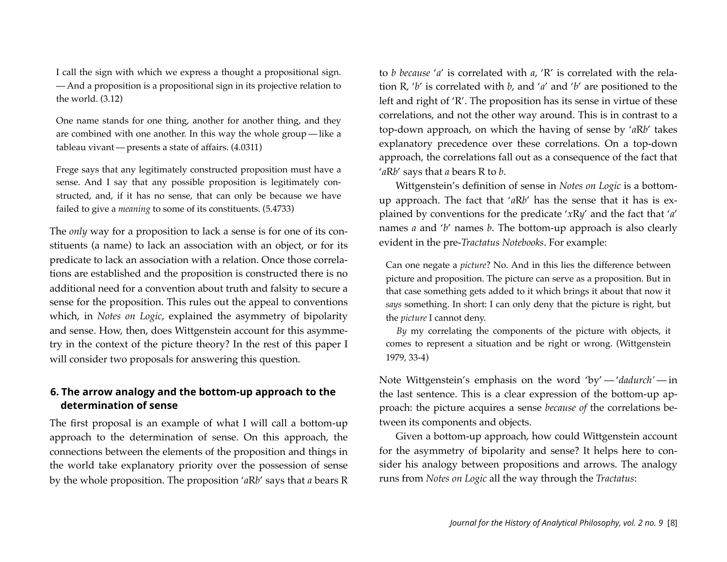I call the sign with which we express a thought a propositional sign. — And a proposition is a propositional sign in its projective relation to the world. (3.12)

One name stands for one thing, another for another thing, and they are combined with one another. In this way the whole group — like a tableau vivant —presents a state of affairs. (4.0311)

Frege says that any legitimately constructed proposition must have a sense. And I say that any possible proposition is legitimately constructed, and, if it has no sense, that can only be because we have failed to give a *meaning* to some of its constituents. (5.4733)

The *only* way for a proposition to lack a sense is for one of its constituents (a name) to lack an association with an object, or for its predicate to lack an association with a relation. Once those correlations are established and the proposition is constructed there is no additional need for a convention about truth and falsity to secure a sense for the proposition. This rules out the appeal to conventions which, in *Notes on Logic*, explained the asymmetry of bipolarity and sense. How, then, does Wittgenstein account for this asymmetry in the context of the picture theory? In the rest of this paper I will consider two proposals for answering this question.

# **6. The arrow analogy and the bottom-up approach to the determination of sense**

The first proposal is an example of what I will call a bottom-up approach to the determination of sense. On this approach, the connections between the elements of the proposition and things in the world take explanatory priority over the possession of sense by the whole proposition. The proposition '*a*R*b*' says that *a* bears R to *b because* '*a*' is correlated with *a*, 'R' is correlated with the relation R, '*b*' is correlated with *b*, and '*a*' and '*b*' are positioned to the left and right of 'R'. The proposition has its sense in virtue of these correlations, and not the other way around. This is in contrast to a top-down approach, on which the having of sense by '*a*R*b*' takes explanatory precedence over these correlations. On a top-down approach, the correlations fall out as a consequence of the fact that '*a*R*b*' says that *a* bears R to *b*.

Wittgenstein's definition of sense in *Notes on Logic* is a bottomup approach. The fact that '*a*R*b*' has the sense that it has is explained by conventions for the predicate '*x*R*y*' and the fact that '*a*' names *a* and '*b*' names *b*. The bottom-up approach is also clearly evident in the pre-*Tractatus Notebooks*. For example:

Can one negate a *picture*? No. And in this lies the difference between picture and proposition. The picture can serve as a proposition. But in that case something gets added to it which brings it about that now it *says* something. In short: I can only deny that the picture is right, but the *picture* I cannot deny.

*By* my correlating the components of the picture with objects, it comes to represent a situation and be right or wrong. (Wittgenstein 1979, 33-4)

Note Wittgenstein's emphasis on the word 'by' — '*dadurch'* — in the last sentence. This is a clear expression of the bottom-up approach: the picture acquires a sense *because of* the correlations between its components and objects.

Given a bottom-up approach, how could Wittgenstein account for the asymmetry of bipolarity and sense? It helps here to consider his analogy between propositions and arrows. The analogy runs from *Notes on Logic* all the way through the *Tractatus*: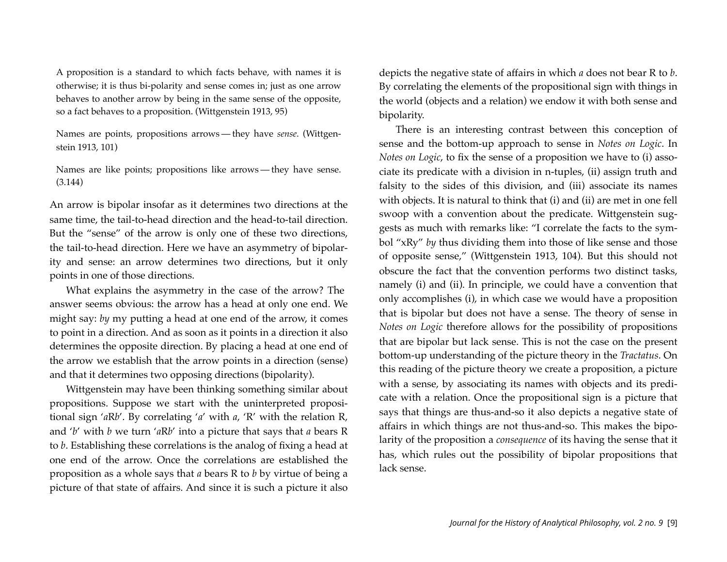A proposition is a standard to which facts behave, with names it is otherwise; it is thus bi-polarity and sense comes in; just as one arrow behaves to another arrow by being in the same sense of the opposite, so a fact behaves to a proposition. (Wittgenstein 1913, 95)

Names are points, propositions arrows — they have *sense*. (Wittgenstein 1913, 101)

Names are like points; propositions like arrows — they have sense. (3.144)

An arrow is bipolar insofar as it determines two directions at the same time, the tail-to-head direction and the head-to-tail direction. But the "sense" of the arrow is only one of these two directions, the tail-to-head direction. Here we have an asymmetry of bipolarity and sense: an arrow determines two directions, but it only points in one of those directions.

What explains the asymmetry in the case of the arrow? The answer seems obvious: the arrow has a head at only one end. We might say: *by* my putting a head at one end of the arrow, it comes to point in a direction. And as soon as it points in a direction it also determines the opposite direction. By placing a head at one end of the arrow we establish that the arrow points in a direction (sense) and that it determines two opposing directions (bipolarity).

Wittgenstein may have been thinking something similar about propositions. Suppose we start with the uninterpreted propositional sign '*a*R*b*'. By correlating '*a*' with *a*, 'R' with the relation R, and '*b*' with *b* we turn '*a*R*b*' into a picture that says that *a* bears R to *b*. Establishing these correlations is the analog of fixing a head at one end of the arrow. Once the correlations are established the proposition as a whole says that *a* bears R to *b* by virtue of being a picture of that state of affairs. And since it is such a picture it also depicts the negative state of affairs in which *a* does not bear R to *b*. By correlating the elements of the propositional sign with things in the world (objects and a relation) we endow it with both sense and bipolarity.

There is an interesting contrast between this conception of sense and the bottom-up approach to sense in *Notes on Logic*. In *Notes on Logic*, to fix the sense of a proposition we have to (i) associate its predicate with a division in n-tuples, (ii) assign truth and falsity to the sides of this division, and (iii) associate its names with objects. It is natural to think that (i) and (ii) are met in one fell swoop with a convention about the predicate. Wittgenstein suggests as much with remarks like: "I correlate the facts to the symbol "xRy" *by* thus dividing them into those of like sense and those of opposite sense," (Wittgenstein 1913, 104). But this should not obscure the fact that the convention performs two distinct tasks, namely (i) and (ii). In principle, we could have a convention that only accomplishes (i), in which case we would have a proposition that is bipolar but does not have a sense. The theory of sense in *Notes on Logic* therefore allows for the possibility of propositions that are bipolar but lack sense. This is not the case on the present bottom-up understanding of the picture theory in the *Tractatus*. On this reading of the picture theory we create a proposition, a picture with a sense, by associating its names with objects and its predicate with a relation. Once the propositional sign is a picture that says that things are thus-and-so it also depicts a negative state of affairs in which things are not thus-and-so. This makes the bipolarity of the proposition a *consequence* of its having the sense that it has, which rules out the possibility of bipolar propositions that lack sense.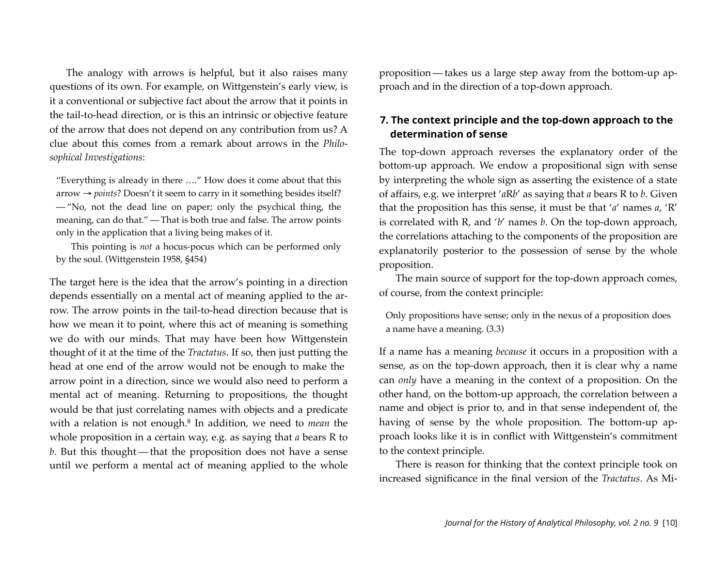The analogy with arrows is helpful, but it also raises many questions of its own. For example, on Wittgenstein's early view, is it a conventional or subjective fact about the arrow that it points in the tail-to-head direction, or is this an intrinsic or objective feature of the arrow that does not depend on any contribution from us? A clue about this comes from a remark about arrows in the *Philosophical Investigations*:

"Everything is already in there …." How does it come about that this arrow → *points*? Doesn't it seem to carry in it something besides itself? — "No, not the dead line on paper; only the psychical thing, the meaning, can do that." — That is both true and false. The arrow points only in the application that a living being makes of it.

This pointing is *not* a hocus-pocus which can be performed only by the soul. (Wittgenstein 1958, §454)

The target here is the idea that the arrow's pointing in a direction depends essentially on a mental act of meaning applied to the arrow. The arrow points in the tail-to-head direction because that is how we mean it to point, where this act of meaning is something we do with our minds. That may have been how Wittgenstein thought of it at the time of the *Tractatus*. If so, then just putting the head at one end of the arrow would not be enough to make the arrow point in a direction, since we would also need to perform a mental act of meaning. Returning to propositions, the thought would be that just correlating names with objects and a predicate with a relation is not enough[.8](#page-13-3) In addition, we need to *mean* the whole proposition in a certain way, e.g. as saying that *a* bears R to *b*. But this thought — that the proposition does not have a sense until we perform a mental act of meaning applied to the whole proposition — takes us a large step away from the bottom-up approach and in the direction of a top-down approach.

# **7. The context principle and the top-down approach to the determination of sense**

The top-down approach reverses the explanatory order of the bottom-up approach. We endow a propositional sign with sense by interpreting the whole sign as asserting the existence of a state of affairs, e.g. we interpret '*a*R*b*' as saying that *a* bears R to *b*. Given that the proposition has this sense, it must be that '*a*' names *a*, 'R' is correlated with R, and '*b*' names *b*. On the top-down approach, the correlations attaching to the components of the proposition are explanatorily posterior to the possession of sense by the whole proposition.

The main source of support for the top-down approach comes, of course, from the context principle:

Only propositions have sense; only in the nexus of a proposition does a name have a meaning. (3.3)

If a name has a meaning *because* it occurs in a proposition with a sense, as on the top-down approach, then it is clear why a name can *only* have a meaning in the context of a proposition. On the other hand, on the bottom-up approach, the correlation between a name and object is prior to, and in that sense independent of, the having of sense by the whole proposition. The bottom-up approach looks like it is in conflict with Wittgenstein's commitment to the context principle.

There is reason for thinking that the context principle took on increased significance in the final version of the *Tractatus*. As Mi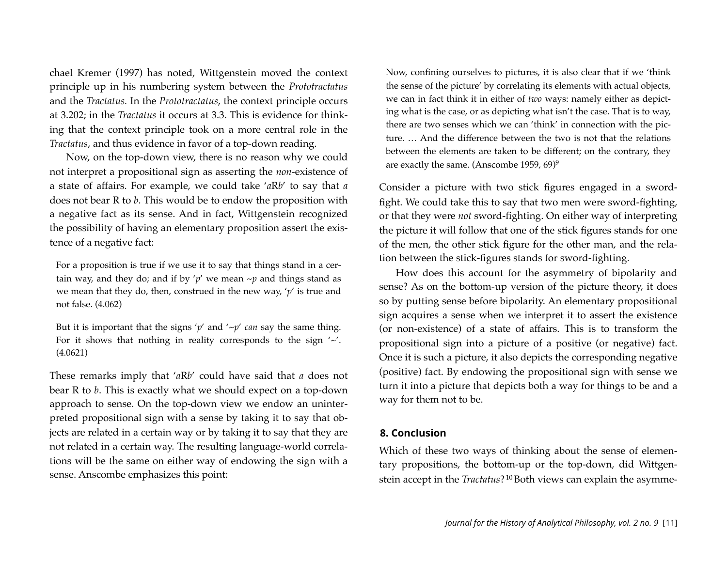chael Kremer (1997) has noted, Wittgenstein moved the context principle up in his numbering system between the *Prototractatus* and the *Tractatus.* In the *Prototractatus*, the context principle occurs at 3.202; in the *Tractatus* it occurs at 3.3. This is evidence for thinking that the context principle took on a more central role in the *Tractatus*, and thus evidence in favor of a top-down reading.

Now, on the top-down view, there is no reason why we could not interpret a propositional sign as asserting the *non*-existence of a state of affairs. For example, we could take '*a*R*b*' to say that *a* does not bear R to *b*. This would be to endow the proposition with a negative fact as its sense. And in fact, Wittgenstein recognized the possibility of having an elementary proposition assert the existence of a negative fact:

For a proposition is true if we use it to say that things stand in a certain way, and they do; and if by ' $p'$  we mean  $\neg p$  and things stand as we mean that they do, then, construed in the new way, '*p*' is true and not false. (4.062)

But it is important that the signs ' $p'$  and ' $\neg p'$  *can* say the same thing. For it shows that nothing in reality corresponds to the sign '~'. (4.0621)

These remarks imply that '*a*R*b*' could have said that *a* does not bear R to *b*. This is exactly what we should expect on a top-down approach to sense. On the top-down view we endow an uninterpreted propositional sign with a sense by taking it to say that objects are related in a certain way or by taking it to say that they are not related in a certain way. The resulting language-world correlations will be the same on either way of endowing the sign with a sense. Anscombe emphasizes this point:

Now, confining ourselves to pictures, it is also clear that if we 'think the sense of the picture' by correlating its elements with actual objects, we can in fact think it in either of *two* ways: namely either as depicting what is the case, or as depicting what isn't the case. That is to way, there are two senses which we can 'think' in connection with the picture. … And the difference between the two is not that the relations between the elements are taken to be different; on the contrary, they are exactly the same. (Anscombe 1959, 69)[9](#page-13-4)

Consider a picture with two stick figures engaged in a swordfight. We could take this to say that two men were sword-fighting, or that they were *not* sword-fighting. On either way of interpreting the picture it will follow that one of the stick figures stands for one of the men, the other stick figure for the other man, and the relation between the stick-figures stands for sword-fighting.

How does this account for the asymmetry of bipolarity and sense? As on the bottom-up version of the picture theory, it does so by putting sense before bipolarity. An elementary propositional sign acquires a sense when we interpret it to assert the existence (or non-existence) of a state of affairs. This is to transform the propositional sign into a picture of a positive (or negative) fact. Once it is such a picture, it also depicts the corresponding negative (positive) fact. By endowing the propositional sign with sense we turn it into a picture that depicts both a way for things to be and a way for them not to be.

#### **8. Conclusion**

Which of these two ways of thinking about the sense of elementary propositions, the bottom-up or the top-down, did Wittgenstein accept in the *Tractatus*? [10](#page-13-5) Both views can explain the asymme-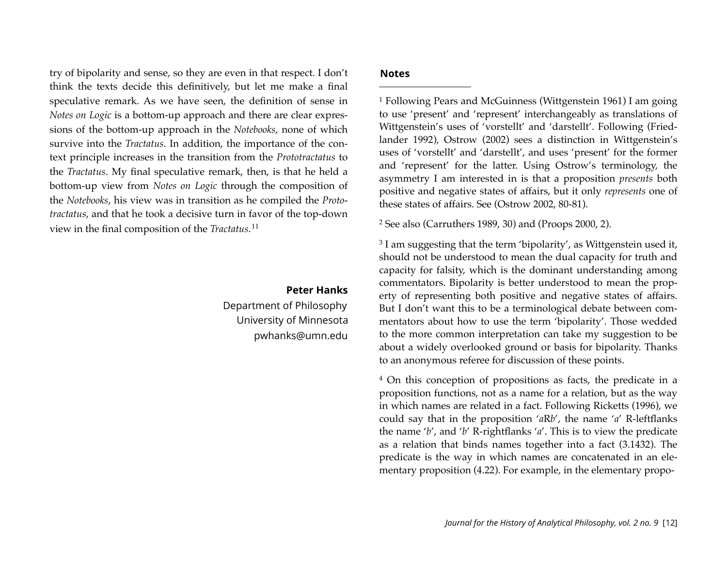try of bipolarity and sense, so they are even in that respect. I don't think the texts decide this definitively, but let me make a final speculative remark. As we have seen, the definition of sense in *Notes on Logic* is a bottom-up approach and there are clear expressions of the bottom-up approach in the *Notebooks*, none of which survive into the *Tractatus*. In addition, the importance of the context principle increases in the transition from the *Prototractatus* to the *Tractatus*. My final speculative remark, then, is that he held a bottom-up view from *Notes on Logic* through the composition of the *Notebooks*, his view was in transition as he compiled the *Prototractatus*, and that he took a decisive turn in favor of the top-down view in the final composition of the *Tractatus*. [11](#page-13-6)

#### **Peter Hanks**

Department of Philosophy University of Minnesota [pwhanks@umn.edu](mailto:pwhanks@umn.edu)

#### **Notes**

<span id="page-12-0"></span>1 Following Pears and McGuinness (Wittgenstein 1961) I am going to use 'present' and 'represent' interchangeably as translations of Wittgenstein's uses of 'vorstellt' and 'darstellt'. Following (Friedlander 1992), Ostrow (2002) sees a distinction in Wittgenstein's uses of 'vorstellt' and 'darstellt', and uses 'present' for the former and 'represent' for the latter. Using Ostrow's terminology, the asymmetry I am interested in is that a proposition *presents* both positive and negative states of affairs, but it only *represents* one of these states of affairs. See (Ostrow 2002, 80-81).

<span id="page-12-1"></span>2 See also (Carruthers 1989, 30) and (Proops 2000, 2).

<span id="page-12-2"></span><sup>3</sup> I am suggesting that the term 'bipolarity', as Wittgenstein used it, should not be understood to mean the dual capacity for truth and capacity for falsity, which is the dominant understanding among commentators. Bipolarity is better understood to mean the property of representing both positive and negative states of affairs. But I don't want this to be a terminological debate between commentators about how to use the term 'bipolarity'. Those wedded to the more common interpretation can take my suggestion to be about a widely overlooked ground or basis for bipolarity. Thanks to an anonymous referee for discussion of these points.

<span id="page-12-3"></span>4 On this conception of propositions as facts, the predicate in a proposition functions, not as a name for a relation, but as the way in which names are related in a fact. Following Ricketts (1996), we could say that in the proposition '*a*R*b*', the name '*a*' R-leftflanks the name '*b*', and '*b*' R-rightflanks '*a*'. This is to view the predicate as a relation that binds names together into a fact (3.1432). The predicate is the way in which names are concatenated in an elementary proposition (4.22). For example, in the elementary propo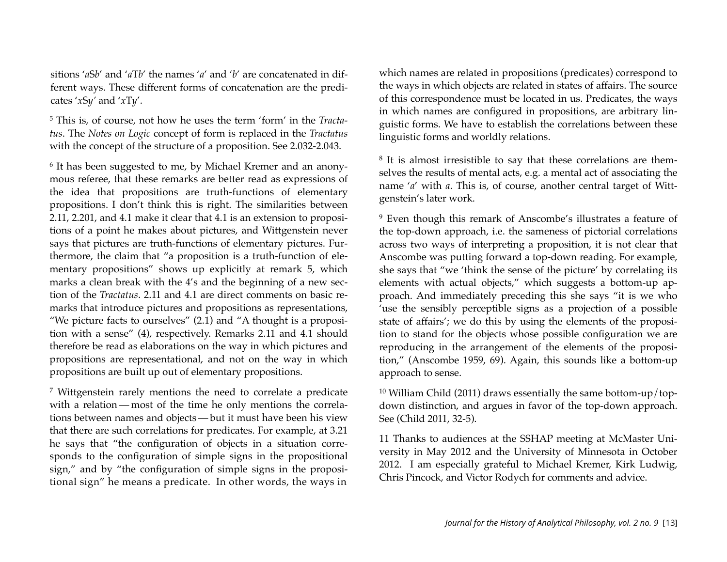sitions '*a*S*b*' and '*a*T*b*' the names '*a*' and '*b*' are concatenated in different ways. These different forms of concatenation are the predicates '*x*S*y'* and '*x*T*y*'.

<span id="page-13-0"></span>5 This is, of course, not how he uses the term 'form' in the *Tractatus*. The *Notes on Logic* concept of form is replaced in the *Tractatus* with the concept of the structure of a proposition. See 2.032-2.043.

<span id="page-13-1"></span>6 It has been suggested to me, by Michael Kremer and an anonymous referee, that these remarks are better read as expressions of the idea that propositions are truth-functions of elementary propositions. I don't think this is right. The similarities between 2.11, 2.201, and 4.1 make it clear that 4.1 is an extension to propositions of a point he makes about pictures, and Wittgenstein never says that pictures are truth-functions of elementary pictures. Furthermore, the claim that "a proposition is a truth-function of elementary propositions" shows up explicitly at remark 5, which marks a clean break with the 4's and the beginning of a new section of the *Tractatus*. 2.11 and 4.1 are direct comments on basic remarks that introduce pictures and propositions as representations, "We picture facts to ourselves" (2.1) and "A thought is a proposition with a sense" (4), respectively. Remarks 2.11 and 4.1 should therefore be read as elaborations on the way in which pictures and propositions are representational, and not on the way in which propositions are built up out of elementary propositions.

<span id="page-13-2"></span>7 Wittgenstein rarely mentions the need to correlate a predicate with a relation — most of the time he only mentions the correlations between names and objects — but it must have been his view that there are such correlations for predicates. For example, at 3.21 he says that "the configuration of objects in a situation corresponds to the configuration of simple signs in the propositional sign," and by "the configuration of simple signs in the propositional sign" he means a predicate. In other words, the ways in

which names are related in propositions (predicates) correspond to the ways in which objects are related in states of affairs. The source of this correspondence must be located in us. Predicates, the ways in which names are configured in propositions, are arbitrary linguistic forms. We have to establish the correlations between these linguistic forms and worldly relations.

<span id="page-13-3"></span>8 It is almost irresistible to say that these correlations are themselves the results of mental acts, e.g. a mental act of associating the name '*a*' with *a*. This is, of course, another central target of Wittgenstein's later work.

<span id="page-13-4"></span>9 Even though this remark of Anscombe's illustrates a feature of the top-down approach, i.e. the sameness of pictorial correlations across two ways of interpreting a proposition, it is not clear that Anscombe was putting forward a top-down reading. For example, she says that "we 'think the sense of the picture' by correlating its elements with actual objects," which suggests a bottom-up approach. And immediately preceding this she says "it is we who 'use the sensibly perceptible signs as a projection of a possible state of affairs'; we do this by using the elements of the proposition to stand for the objects whose possible configuration we are reproducing in the arrangement of the elements of the proposition," (Anscombe 1959, 69). Again, this sounds like a bottom-up approach to sense.

<span id="page-13-5"></span>10 William Child (2011) draws essentially the same bottom-up/topdown distinction, and argues in favor of the top-down approach. See (Child 2011, 32-5).

<span id="page-13-6"></span>11 Thanks to audiences at the SSHAP meeting at McMaster University in May 2012 and the University of Minnesota in October 2012. I am especially grateful to Michael Kremer, Kirk Ludwig, Chris Pincock, and Victor Rodych for comments and advice.